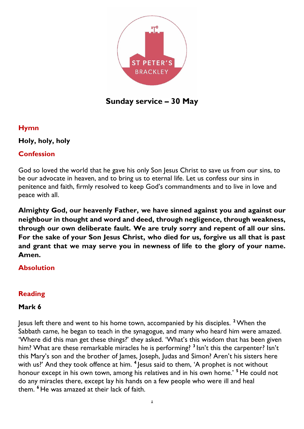

# **Sunday service – 30 May**

### **Hymn**

### **Holy, holy, holy**

### **Confession**

God so loved the world that he gave his only Son Jesus Christ to save us from our sins, to be our advocate in heaven, and to bring us to eternal life. Let us confess our sins in penitence and faith, firmly resolved to keep God's commandments and to live in love and peace with all.

**Almighty God, our heavenly Father, we have sinned against you and against our neighbour in thought and word and deed, through negligence, through weakness, through our own deliberate fault. We are truly sorry and repent of all our sins. For the sake of your Son Jesus Christ, who died for us, forgive us all that is past and grant that we may serve you in newness of life to the glory of your name. Amen.**

### **Absolution**

# **Reading**

### **Mark 6**

Jesus left there and went to his home town, accompanied by his disciples. **<sup>2</sup>**When the Sabbath came, he began to teach in the synagogue, and many who heard him were amazed. 'Where did this man get these things?' they asked. 'What's this wisdom that has been given him? What are these remarkable miracles he is performing? **<sup>3</sup>** Isn't this the carpenter? Isn't this Mary's son and the brother of James, Joseph, Judas and Simon? Aren't his sisters here with us?' And they took offence at him. **<sup>4</sup>** Jesus said to them, 'A prophet is not without honour except in his own town, among his relatives and in his own home.' **<sup>5</sup>** He could not do any miracles there, except lay his hands on a few people who were ill and heal them. **<sup>6</sup>** He was amazed at their lack of faith.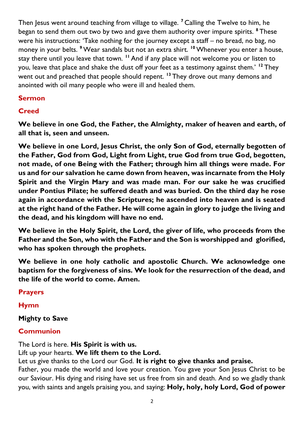Then Jesus went around teaching from village to village. **<sup>7</sup>** Calling the Twelve to him, he began to send them out two by two and gave them authority over impure spirits. **<sup>8</sup>** These were his instructions: 'Take nothing for the journey except a staff – no bread, no bag, no money in your belts. **<sup>9</sup>**Wear sandals but not an extra shirt. **<sup>10</sup>**Whenever you enter a house, stay there until you leave that town. **<sup>11</sup>** And if any place will not welcome you or listen to you, leave that place and shake the dust off your feet as a testimony against them.' **<sup>12</sup>** They went out and preached that people should repent. **<sup>13</sup>** They drove out many demons and anointed with oil many people who were ill and healed them.

# **Sermon**

# **Creed**

**We believe in one God, the Father, the Almighty, maker of heaven and earth, of all that is, seen and unseen.** 

**We believe in one Lord, Jesus Christ, the only Son of God, eternally begotten of the Father, God from God, Light from Light, true God from true God, begotten, not made, of one Being with the Father; through him all things were made. For us and for our salvation he came down from heaven, was incarnate from the Holy Spirit and the Virgin Mary and was made man. For our sake he was crucified under Pontius Pilate; he suffered death and was buried. On the third day he rose again in accordance with the Scriptures; he ascended into heaven and is seated at the right hand of the Father. He will come again in glory to judge the living and the dead, and his kingdom will have no end.**

**We believe in the Holy Spirit, the Lord, the giver of life, who proceeds from the Father and the Son, who with the Father and the Son is worshipped and glorified, who has spoken through the prophets.** 

**We believe in one holy catholic and apostolic Church. We acknowledge one baptism for the forgiveness of sins. We look for the resurrection of the dead, and the life of the world to come. Amen.**

# **Prayers**

**Hymn**

# **Mighty to Save**

# **Communion**

The Lord is here. **His Spirit is with us.** Lift up your hearts. **We lift them to the Lord.**

Let us give thanks to the Lord our God. **It is right to give thanks and praise.**

Father, you made the world and love your creation. You gave your Son Jesus Christ to be our Saviour. His dying and rising have set us free from sin and death. And so we gladly thank you, with saints and angels praising you, and saying: **Holy, holy, holy Lord, God of power**